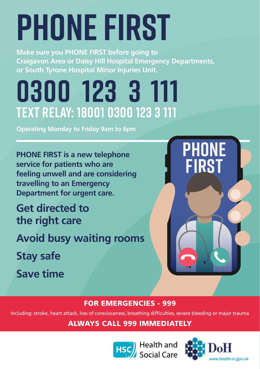# **Phone First**

**Make sure you PHONE FIRST before going to Craigavon Area or Daisy Hill Hospital Emergency Departments, or South Tyrone Hospital Minor Injuries Unit.**

## **0300 123 3 111 Text Relay: 18001 0300 123 3 111**

**Operating Monday to Friday 9am to 6pm** 

**PHONE FIRST is a new telephone service for patients who are feeling unwell and are considering travelling to an Emergency Department for urgent care.**

**Get directed to the right care**

**Avoid busy waiting rooms**

**Stay safe**

**Save time**



### FOR EMERGENCIES - 999

Including: stroke, heart attack, loss of consciousness, breathing difficulties, severe bleeding or major trauma

ALWAYS CALL 999 IMMEDIATELY



**HSC** Health and<br>Social Care